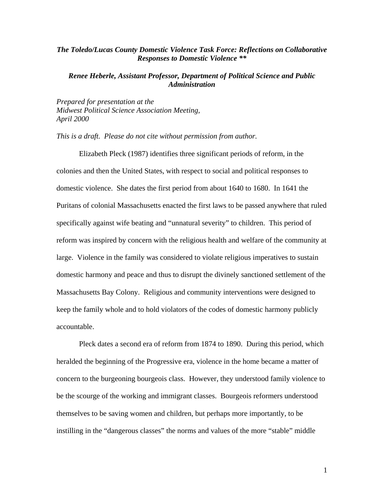## *The Toledo/Lucas County Domestic Violence Task Force: Reflections on Collaborative Responses to Domestic Violence \*\**

## *Renee Heberle, Assistant Professor, Department of Political Science and Public Administration*

*Prepared for presentation at the Midwest Political Science Association Meeting, April 2000* 

*This is a draft. Please do not cite without permission from author.* 

Elizabeth Pleck (1987) identifies three significant periods of reform, in the colonies and then the United States, with respect to social and political responses to domestic violence. She dates the first period from about 1640 to 1680. In 1641 the Puritans of colonial Massachusetts enacted the first laws to be passed anywhere that ruled specifically against wife beating and "unnatural severity" to children. This period of reform was inspired by concern with the religious health and welfare of the community at large. Violence in the family was considered to violate religious imperatives to sustain domestic harmony and peace and thus to disrupt the divinely sanctioned settlement of the Massachusetts Bay Colony. Religious and community interventions were designed to keep the family whole and to hold violators of the codes of domestic harmony publicly accountable.

Pleck dates a second era of reform from 1874 to 1890. During this period, which heralded the beginning of the Progressive era, violence in the home became a matter of concern to the burgeoning bourgeois class. However, they understood family violence to be the scourge of the working and immigrant classes. Bourgeois reformers understood themselves to be saving women and children, but perhaps more importantly, to be instilling in the "dangerous classes" the norms and values of the more "stable" middle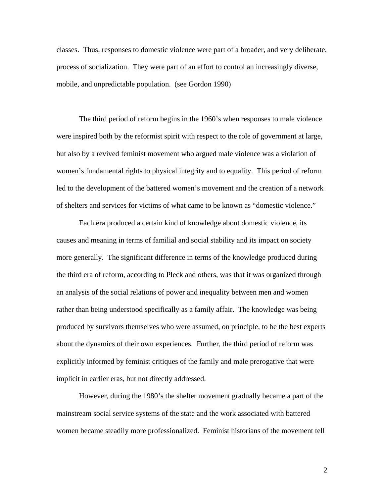classes. Thus, responses to domestic violence were part of a broader, and very deliberate, process of socialization. They were part of an effort to control an increasingly diverse, mobile, and unpredictable population. (see Gordon 1990)

The third period of reform begins in the 1960's when responses to male violence were inspired both by the reformist spirit with respect to the role of government at large, but also by a revived feminist movement who argued male violence was a violation of women's fundamental rights to physical integrity and to equality. This period of reform led to the development of the battered women's movement and the creation of a network of shelters and services for victims of what came to be known as "domestic violence."

 Each era produced a certain kind of knowledge about domestic violence, its causes and meaning in terms of familial and social stability and its impact on society more generally. The significant difference in terms of the knowledge produced during the third era of reform, according to Pleck and others, was that it was organized through an analysis of the social relations of power and inequality between men and women rather than being understood specifically as a family affair. The knowledge was being produced by survivors themselves who were assumed, on principle, to be the best experts about the dynamics of their own experiences. Further, the third period of reform was explicitly informed by feminist critiques of the family and male prerogative that were implicit in earlier eras, but not directly addressed.

However, during the 1980's the shelter movement gradually became a part of the mainstream social service systems of the state and the work associated with battered women became steadily more professionalized. Feminist historians of the movement tell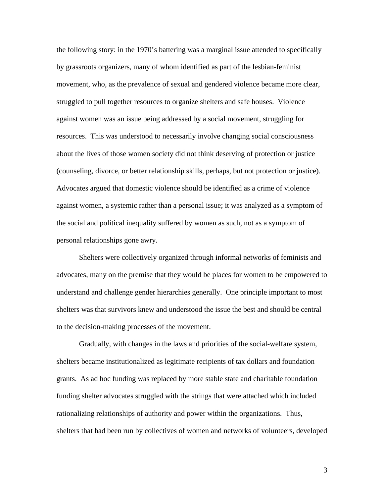the following story: in the 1970's battering was a marginal issue attended to specifically by grassroots organizers, many of whom identified as part of the lesbian-feminist movement, who, as the prevalence of sexual and gendered violence became more clear, struggled to pull together resources to organize shelters and safe houses. Violence against women was an issue being addressed by a social movement, struggling for resources. This was understood to necessarily involve changing social consciousness about the lives of those women society did not think deserving of protection or justice (counseling, divorce, or better relationship skills, perhaps, but not protection or justice). Advocates argued that domestic violence should be identified as a crime of violence against women, a systemic rather than a personal issue; it was analyzed as a symptom of the social and political inequality suffered by women as such, not as a symptom of personal relationships gone awry.

Shelters were collectively organized through informal networks of feminists and advocates, many on the premise that they would be places for women to be empowered to understand and challenge gender hierarchies generally. One principle important to most shelters was that survivors knew and understood the issue the best and should be central to the decision-making processes of the movement.

Gradually, with changes in the laws and priorities of the social-welfare system, shelters became institutionalized as legitimate recipients of tax dollars and foundation grants. As ad hoc funding was replaced by more stable state and charitable foundation funding shelter advocates struggled with the strings that were attached which included rationalizing relationships of authority and power within the organizations. Thus, shelters that had been run by collectives of women and networks of volunteers, developed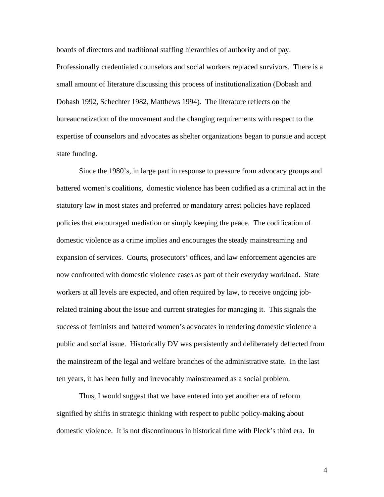boards of directors and traditional staffing hierarchies of authority and of pay. Professionally credentialed counselors and social workers replaced survivors. There is a small amount of literature discussing this process of institutionalization (Dobash and Dobash 1992, Schechter 1982, Matthews 1994). The literature reflects on the bureaucratization of the movement and the changing requirements with respect to the expertise of counselors and advocates as shelter organizations began to pursue and accept state funding.

Since the 1980's, in large part in response to pressure from advocacy groups and battered women's coalitions, domestic violence has been codified as a criminal act in the statutory law in most states and preferred or mandatory arrest policies have replaced policies that encouraged mediation or simply keeping the peace. The codification of domestic violence as a crime implies and encourages the steady mainstreaming and expansion of services. Courts, prosecutors' offices, and law enforcement agencies are now confronted with domestic violence cases as part of their everyday workload. State workers at all levels are expected, and often required by law, to receive ongoing jobrelated training about the issue and current strategies for managing it. This signals the success of feminists and battered women's advocates in rendering domestic violence a public and social issue. Historically DV was persistently and deliberately deflected from the mainstream of the legal and welfare branches of the administrative state. In the last ten years, it has been fully and irrevocably mainstreamed as a social problem.

Thus, I would suggest that we have entered into yet another era of reform signified by shifts in strategic thinking with respect to public policy-making about domestic violence. It is not discontinuous in historical time with Pleck's third era. In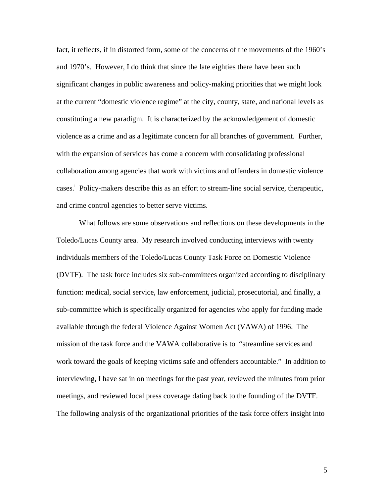fact, it reflects, if in distorted form, some of the concerns of the movements of the 1960's and 1970's. However, I do think that since the late eighties there have been such significant changes in public awareness and policy-making priorities that we might look at the current "domestic violence regime" at the city, county, state, and national levels as constituting a new paradigm. It is characterized by the acknowledgement of domestic violence as a crime and as a legitimate concern for all branches of government. Further, with the expansion of services has come a concern with consolidating professional collaboration among agencies that work with victims and offenders in domestic violence cases.<sup>i</sup> Policy-makers describe this as an effort to stream-line social service, therapeutic, and crime control agencies to better serve victims.

What follows are some observations and reflections on these developments in the Toledo/Lucas County area. My research involved conducting interviews with twenty individuals members of the Toledo/Lucas County Task Force on Domestic Violence (DVTF). The task force includes six sub-committees organized according to disciplinary function: medical, social service, law enforcement, judicial, prosecutorial, and finally, a sub-committee which is specifically organized for agencies who apply for funding made available through the federal Violence Against Women Act (VAWA) of 1996. The mission of the task force and the VAWA collaborative is to "streamline services and work toward the goals of keeping victims safe and offenders accountable." In addition to interviewing, I have sat in on meetings for the past year, reviewed the minutes from prior meetings, and reviewed local press coverage dating back to the founding of the DVTF. The following analysis of the organizational priorities of the task force offers insight into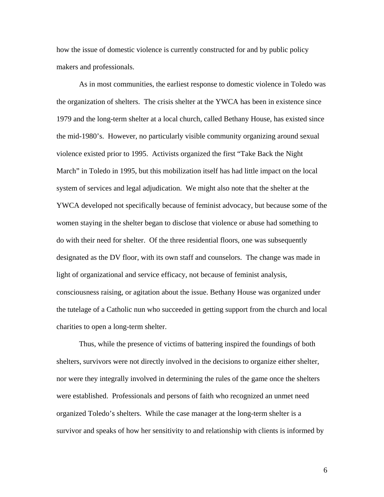how the issue of domestic violence is currently constructed for and by public policy makers and professionals.

As in most communities, the earliest response to domestic violence in Toledo was the organization of shelters. The crisis shelter at the YWCA has been in existence since 1979 and the long-term shelter at a local church, called Bethany House, has existed since the mid-1980's. However, no particularly visible community organizing around sexual violence existed prior to 1995. Activists organized the first "Take Back the Night March" in Toledo in 1995, but this mobilization itself has had little impact on the local system of services and legal adjudication. We might also note that the shelter at the YWCA developed not specifically because of feminist advocacy, but because some of the women staying in the shelter began to disclose that violence or abuse had something to do with their need for shelter. Of the three residential floors, one was subsequently designated as the DV floor, with its own staff and counselors. The change was made in light of organizational and service efficacy, not because of feminist analysis, consciousness raising, or agitation about the issue. Bethany House was organized under the tutelage of a Catholic nun who succeeded in getting support from the church and local charities to open a long-term shelter.

Thus, while the presence of victims of battering inspired the foundings of both shelters, survivors were not directly involved in the decisions to organize either shelter, nor were they integrally involved in determining the rules of the game once the shelters were established. Professionals and persons of faith who recognized an unmet need organized Toledo's shelters. While the case manager at the long-term shelter is a survivor and speaks of how her sensitivity to and relationship with clients is informed by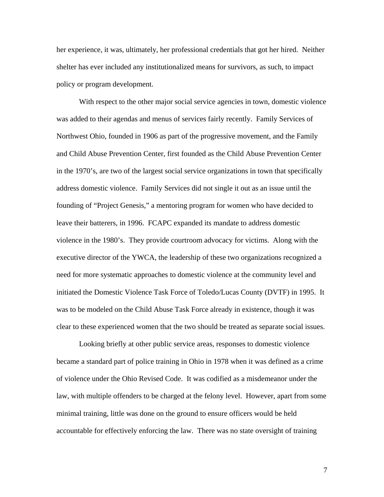her experience, it was, ultimately, her professional credentials that got her hired. Neither shelter has ever included any institutionalized means for survivors, as such, to impact policy or program development.

With respect to the other major social service agencies in town, domestic violence was added to their agendas and menus of services fairly recently. Family Services of Northwest Ohio, founded in 1906 as part of the progressive movement, and the Family and Child Abuse Prevention Center, first founded as the Child Abuse Prevention Center in the 1970's, are two of the largest social service organizations in town that specifically address domestic violence. Family Services did not single it out as an issue until the founding of "Project Genesis," a mentoring program for women who have decided to leave their batterers, in 1996. FCAPC expanded its mandate to address domestic violence in the 1980's. They provide courtroom advocacy for victims. Along with the executive director of the YWCA, the leadership of these two organizations recognized a need for more systematic approaches to domestic violence at the community level and initiated the Domestic Violence Task Force of Toledo/Lucas County (DVTF) in 1995. It was to be modeled on the Child Abuse Task Force already in existence, though it was clear to these experienced women that the two should be treated as separate social issues.

Looking briefly at other public service areas, responses to domestic violence became a standard part of police training in Ohio in 1978 when it was defined as a crime of violence under the Ohio Revised Code. It was codified as a misdemeanor under the law, with multiple offenders to be charged at the felony level. However, apart from some minimal training, little was done on the ground to ensure officers would be held accountable for effectively enforcing the law. There was no state oversight of training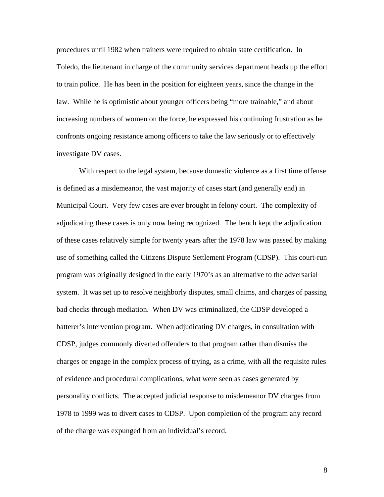procedures until 1982 when trainers were required to obtain state certification. In Toledo, the lieutenant in charge of the community services department heads up the effort to train police. He has been in the position for eighteen years, since the change in the law. While he is optimistic about younger officers being "more trainable," and about increasing numbers of women on the force, he expressed his continuing frustration as he confronts ongoing resistance among officers to take the law seriously or to effectively investigate DV cases.

With respect to the legal system, because domestic violence as a first time offense is defined as a misdemeanor, the vast majority of cases start (and generally end) in Municipal Court. Very few cases are ever brought in felony court. The complexity of adjudicating these cases is only now being recognized. The bench kept the adjudication of these cases relatively simple for twenty years after the 1978 law was passed by making use of something called the Citizens Dispute Settlement Program (CDSP). This court-run program was originally designed in the early 1970's as an alternative to the adversarial system. It was set up to resolve neighborly disputes, small claims, and charges of passing bad checks through mediation. When DV was criminalized, the CDSP developed a batterer's intervention program. When adjudicating DV charges, in consultation with CDSP, judges commonly diverted offenders to that program rather than dismiss the charges or engage in the complex process of trying, as a crime, with all the requisite rules of evidence and procedural complications, what were seen as cases generated by personality conflicts. The accepted judicial response to misdemeanor DV charges from 1978 to 1999 was to divert cases to CDSP. Upon completion of the program any record of the charge was expunged from an individual's record.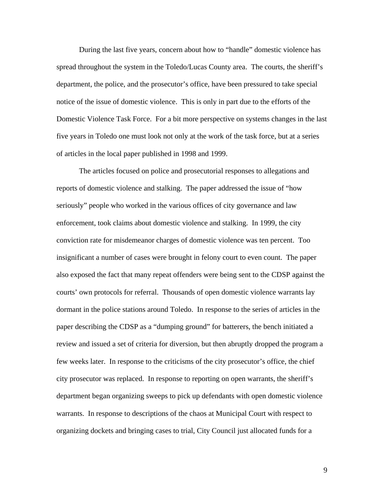During the last five years, concern about how to "handle" domestic violence has spread throughout the system in the Toledo/Lucas County area. The courts, the sheriff's department, the police, and the prosecutor's office, have been pressured to take special notice of the issue of domestic violence. This is only in part due to the efforts of the Domestic Violence Task Force. For a bit more perspective on systems changes in the last five years in Toledo one must look not only at the work of the task force, but at a series of articles in the local paper published in 1998 and 1999.

The articles focused on police and prosecutorial responses to allegations and reports of domestic violence and stalking. The paper addressed the issue of "how seriously" people who worked in the various offices of city governance and law enforcement, took claims about domestic violence and stalking. In 1999, the city conviction rate for misdemeanor charges of domestic violence was ten percent. Too insignificant a number of cases were brought in felony court to even count. The paper also exposed the fact that many repeat offenders were being sent to the CDSP against the courts' own protocols for referral. Thousands of open domestic violence warrants lay dormant in the police stations around Toledo. In response to the series of articles in the paper describing the CDSP as a "dumping ground" for batterers, the bench initiated a review and issued a set of criteria for diversion, but then abruptly dropped the program a few weeks later. In response to the criticisms of the city prosecutor's office, the chief city prosecutor was replaced. In response to reporting on open warrants, the sheriff's department began organizing sweeps to pick up defendants with open domestic violence warrants. In response to descriptions of the chaos at Municipal Court with respect to organizing dockets and bringing cases to trial, City Council just allocated funds for a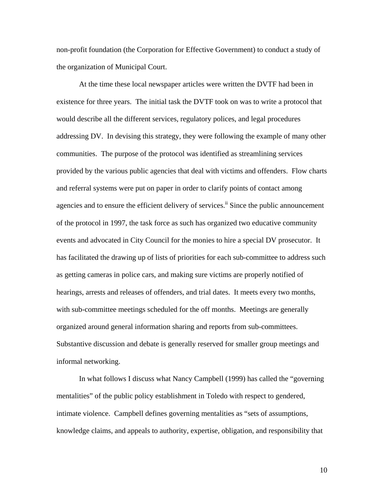non-profit foundation (the Corporation for Effective Government) to conduct a study of the organization of Municipal Court.

At the time these local newspaper articles were written the DVTF had been in existence for three years. The initial task the DVTF took on was to write a protocol that would describe all the different services, regulatory polices, and legal procedures addressing DV. In devising this strategy, they were following the example of many other communities. The purpose of the protocol was identified as streamlining services provided by the various public agencies that deal with victims and offenders. Flow charts and referral systems were put on paper in order to clarify points of contact among agencies and to ensure the efficient delivery of services.<sup>ii</sup> Since the public announcement of the protocol in 1997, the task force as such has organized two educative community events and advocated in City Council for the monies to hire a special DV prosecutor. It has facilitated the drawing up of lists of priorities for each sub-committee to address such as getting cameras in police cars, and making sure victims are properly notified of hearings, arrests and releases of offenders, and trial dates. It meets every two months, with sub-committee meetings scheduled for the off months. Meetings are generally organized around general information sharing and reports from sub-committees. Substantive discussion and debate is generally reserved for smaller group meetings and informal networking.

In what follows I discuss what Nancy Campbell (1999) has called the "governing mentalities" of the public policy establishment in Toledo with respect to gendered, intimate violence. Campbell defines governing mentalities as "sets of assumptions, knowledge claims, and appeals to authority, expertise, obligation, and responsibility that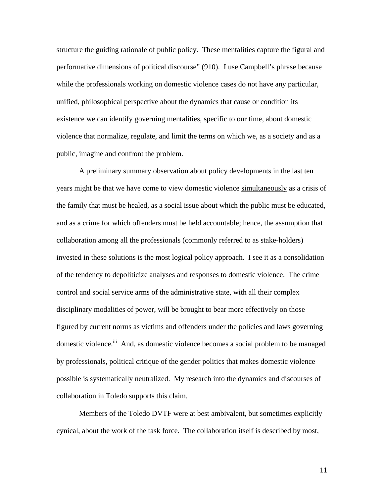structure the guiding rationale of public policy. These mentalities capture the figural and performative dimensions of political discourse" (910). I use Campbell's phrase because while the professionals working on domestic violence cases do not have any particular, unified, philosophical perspective about the dynamics that cause or condition its existence we can identify governing mentalities, specific to our time, about domestic violence that normalize, regulate, and limit the terms on which we, as a society and as a public, imagine and confront the problem.

A preliminary summary observation about policy developments in the last ten years might be that we have come to view domestic violence simultaneously as a crisis of the family that must be healed, as a social issue about which the public must be educated, and as a crime for which offenders must be held accountable; hence, the assumption that collaboration among all the professionals (commonly referred to as stake-holders) invested in these solutions is the most logical policy approach. I see it as a consolidation of the tendency to depoliticize analyses and responses to domestic violence. The crime control and social service arms of the administrative state, with all their complex disciplinary modalities of power, will be brought to bear more effectively on those figured by current norms as victims and offenders under the policies and laws governing domestic violence.<sup>iii</sup> And, as domestic violence becomes a social problem to be managed by professionals, political critique of the gender politics that makes domestic violence possible is systematically neutralized. My research into the dynamics and discourses of collaboration in Toledo supports this claim.

Members of the Toledo DVTF were at best ambivalent, but sometimes explicitly cynical, about the work of the task force. The collaboration itself is described by most,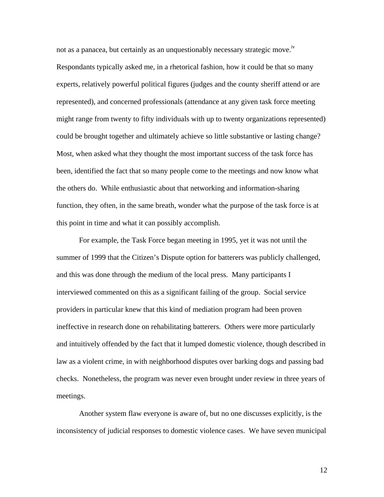not as a panacea, but certainly as an unquestionably necessary strategic move.<sup>iv</sup> Respondants typically asked me, in a rhetorical fashion, how it could be that so many experts, relatively powerful political figures (judges and the county sheriff attend or are represented), and concerned professionals (attendance at any given task force meeting might range from twenty to fifty individuals with up to twenty organizations represented) could be brought together and ultimately achieve so little substantive or lasting change? Most, when asked what they thought the most important success of the task force has been, identified the fact that so many people come to the meetings and now know what the others do. While enthusiastic about that networking and information-sharing function, they often, in the same breath, wonder what the purpose of the task force is at this point in time and what it can possibly accomplish.

For example, the Task Force began meeting in 1995, yet it was not until the summer of 1999 that the Citizen's Dispute option for batterers was publicly challenged, and this was done through the medium of the local press. Many participants I interviewed commented on this as a significant failing of the group. Social service providers in particular knew that this kind of mediation program had been proven ineffective in research done on rehabilitating batterers. Others were more particularly and intuitively offended by the fact that it lumped domestic violence, though described in law as a violent crime, in with neighborhood disputes over barking dogs and passing bad checks. Nonetheless, the program was never even brought under review in three years of meetings.

Another system flaw everyone is aware of, but no one discusses explicitly, is the inconsistency of judicial responses to domestic violence cases. We have seven municipal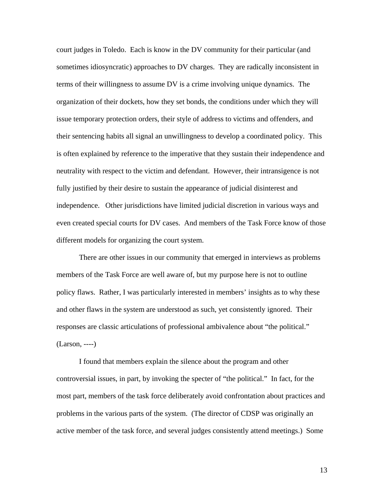court judges in Toledo. Each is know in the DV community for their particular (and sometimes idiosyncratic) approaches to DV charges. They are radically inconsistent in terms of their willingness to assume DV is a crime involving unique dynamics. The organization of their dockets, how they set bonds, the conditions under which they will issue temporary protection orders, their style of address to victims and offenders, and their sentencing habits all signal an unwillingness to develop a coordinated policy. This is often explained by reference to the imperative that they sustain their independence and neutrality with respect to the victim and defendant. However, their intransigence is not fully justified by their desire to sustain the appearance of judicial disinterest and independence. Other jurisdictions have limited judicial discretion in various ways and even created special courts for DV cases. And members of the Task Force know of those different models for organizing the court system.

There are other issues in our community that emerged in interviews as problems members of the Task Force are well aware of, but my purpose here is not to outline policy flaws. Rather, I was particularly interested in members' insights as to why these and other flaws in the system are understood as such, yet consistently ignored. Their responses are classic articulations of professional ambivalence about "the political." (Larson, ----)

I found that members explain the silence about the program and other controversial issues, in part, by invoking the specter of "the political." In fact, for the most part, members of the task force deliberately avoid confrontation about practices and problems in the various parts of the system. (The director of CDSP was originally an active member of the task force, and several judges consistently attend meetings.) Some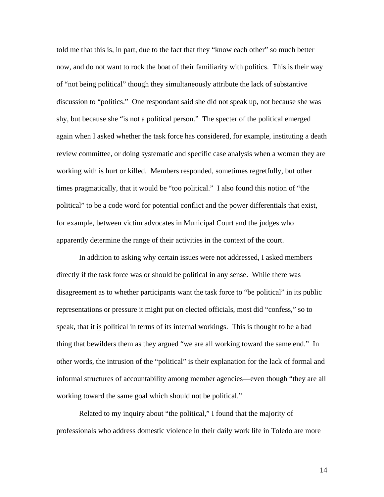told me that this is, in part, due to the fact that they "know each other" so much better now, and do not want to rock the boat of their familiarity with politics. This is their way of "not being political" though they simultaneously attribute the lack of substantive discussion to "politics." One respondant said she did not speak up, not because she was shy, but because she "is not a political person." The specter of the political emerged again when I asked whether the task force has considered, for example, instituting a death review committee, or doing systematic and specific case analysis when a woman they are working with is hurt or killed. Members responded, sometimes regretfully, but other times pragmatically, that it would be "too political." I also found this notion of "the political" to be a code word for potential conflict and the power differentials that exist, for example, between victim advocates in Municipal Court and the judges who apparently determine the range of their activities in the context of the court.

In addition to asking why certain issues were not addressed, I asked members directly if the task force was or should be political in any sense. While there was disagreement as to whether participants want the task force to "be political" in its public representations or pressure it might put on elected officials, most did "confess," so to speak, that it is political in terms of its internal workings. This is thought to be a bad thing that bewilders them as they argued "we are all working toward the same end." In other words, the intrusion of the "political" is their explanation for the lack of formal and informal structures of accountability among member agencies—even though "they are all working toward the same goal which should not be political."

Related to my inquiry about "the political," I found that the majority of professionals who address domestic violence in their daily work life in Toledo are more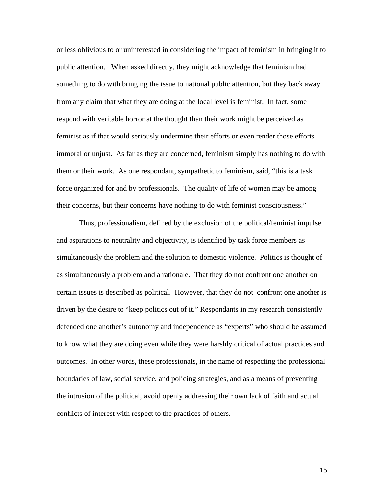or less oblivious to or uninterested in considering the impact of feminism in bringing it to public attention. When asked directly, they might acknowledge that feminism had something to do with bringing the issue to national public attention, but they back away from any claim that what they are doing at the local level is feminist. In fact, some respond with veritable horror at the thought than their work might be perceived as feminist as if that would seriously undermine their efforts or even render those efforts immoral or unjust. As far as they are concerned, feminism simply has nothing to do with them or their work. As one respondant, sympathetic to feminism, said, "this is a task force organized for and by professionals. The quality of life of women may be among their concerns, but their concerns have nothing to do with feminist consciousness."

Thus, professionalism, defined by the exclusion of the political/feminist impulse and aspirations to neutrality and objectivity, is identified by task force members as simultaneously the problem and the solution to domestic violence. Politics is thought of as simultaneously a problem and a rationale. That they do not confront one another on certain issues is described as political. However, that they do not confront one another is driven by the desire to "keep politics out of it." Respondants in my research consistently defended one another's autonomy and independence as "experts" who should be assumed to know what they are doing even while they were harshly critical of actual practices and outcomes. In other words, these professionals, in the name of respecting the professional boundaries of law, social service, and policing strategies, and as a means of preventing the intrusion of the political, avoid openly addressing their own lack of faith and actual conflicts of interest with respect to the practices of others.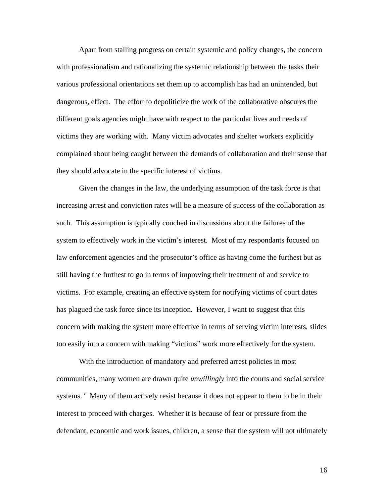Apart from stalling progress on certain systemic and policy changes, the concern with professionalism and rationalizing the systemic relationship between the tasks their various professional orientations set them up to accomplish has had an unintended, but dangerous, effect. The effort to depoliticize the work of the collaborative obscures the different goals agencies might have with respect to the particular lives and needs of victims they are working with. Many victim advocates and shelter workers explicitly complained about being caught between the demands of collaboration and their sense that they should advocate in the specific interest of victims.

Given the changes in the law, the underlying assumption of the task force is that increasing arrest and conviction rates will be a measure of success of the collaboration as such. This assumption is typically couched in discussions about the failures of the system to effectively work in the victim's interest. Most of my respondants focused on law enforcement agencies and the prosecutor's office as having come the furthest but as still having the furthest to go in terms of improving their treatment of and service to victims. For example, creating an effective system for notifying victims of court dates has plagued the task force since its inception. However, I want to suggest that this concern with making the system more effective in terms of serving victim interests, slides too easily into a concern with making "victims" work more effectively for the system.

With the introduction of mandatory and preferred arrest policies in most communities, many women are drawn quite *unwillingly* into the courts and social service systems. <sup>v</sup> Many of them actively resist because it does not appear to them to be in their interest to proceed with charges. Whether it is because of fear or pressure from the defendant, economic and work issues, children, a sense that the system will not ultimately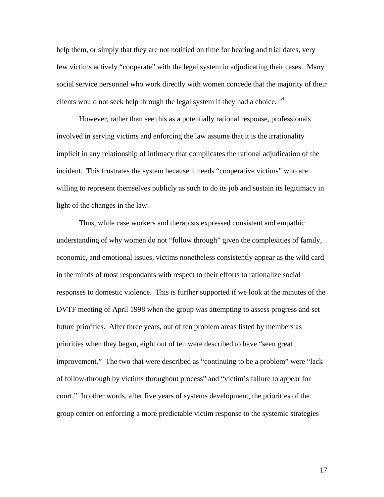help them, or simply that they are not notified on time for hearing and trial dates, very few victims actively "cooperate" with the legal system in adjudicating their cases. Many social service personnel who work directly with women concede that the majority of their clients would not seek help through the legal system if they had a choice. <sup>vi</sup>

However, rather than see this as a potentially rational response, professionals involved in serving victims and enforcing the law assume that it is the irrationality implicit in any relationship of intimacy that complicates the rational adjudication of the incident. This frustrates the system because it needs "cooperative victims" who are willing to represent themselves publicly as such to do its job and sustain its legitimacy in light of the changes in the law.

Thus, while case workers and therapists expressed consistent and empathic understanding of why women do not "follow through" given the complexities of family, economic, and emotional issues, victims nonetheless consistently appear as the wild card in the minds of most respondants with respect to their efforts to rationalize social responses to domestic violence. This is further supported if we look at the minutes of the DVTF meeting of April 1998 when the group was attempting to assess progress and set future priorities. After three years, out of ten problem areas listed by members as priorities when they began, eight out of ten were described to have "seen great improvement." The two that were described as "continuing to be a problem" were "lack of follow-through by victims throughout process" and "victim's failure to appear for court." In other words, after five years of systems development, the priorities of the group center on enforcing a more predictable victim response to the systemic strategies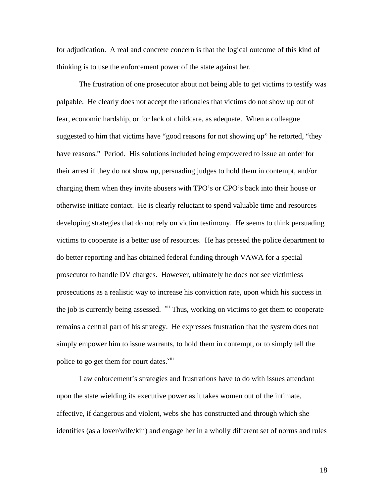for adjudication. A real and concrete concern is that the logical outcome of this kind of thinking is to use the enforcement power of the state against her.

The frustration of one prosecutor about not being able to get victims to testify was palpable. He clearly does not accept the rationales that victims do not show up out of fear, economic hardship, or for lack of childcare, as adequate. When a colleague suggested to him that victims have "good reasons for not showing up" he retorted, "they have reasons." Period. His solutions included being empowered to issue an order for their arrest if they do not show up, persuading judges to hold them in contempt, and/or charging them when they invite abusers with TPO's or CPO's back into their house or otherwise initiate contact. He is clearly reluctant to spend valuable time and resources developing strategies that do not rely on victim testimony. He seems to think persuading victims to cooperate is a better use of resources. He has pressed the police department to do better reporting and has obtained federal funding through VAWA for a special prosecutor to handle DV charges. However, ultimately he does not see victimless prosecutions as a realistic way to increase his conviction rate, upon which his success in the job is currently being assessed. <sup>vii</sup> Thus, working on victims to get them to cooperate remains a central part of his strategy. He expresses frustration that the system does not simply empower him to issue warrants, to hold them in contempt, or to simply tell the police to go get them for court dates.<sup>viii</sup>

Law enforcement's strategies and frustrations have to do with issues attendant upon the state wielding its executive power as it takes women out of the intimate, affective, if dangerous and violent, webs she has constructed and through which she identifies (as a lover/wife/kin) and engage her in a wholly different set of norms and rules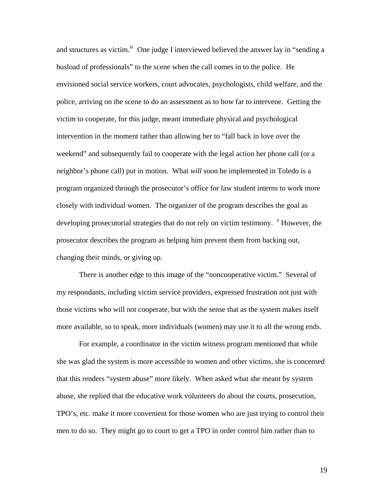and structures as victim.<sup>ix</sup> One judge I interviewed believed the answer lay in "sending a busload of professionals" to the scene when the call comes in to the police. He envisioned social service workers, court advocates, psychologists, child welfare, and the police, arriving on the scene to do an assessment as to how far to intervene. Getting the victim to cooperate, for this judge, meant immediate physical and psychological intervention in the moment rather than allowing her to "fall back in love over the weekend" and subsequently fail to cooperate with the legal action her phone call (or a neighbor's phone call) put in motion. What *will* soon be implemented in Toledo is a program organized through the prosecutor's office for law student interns to work more closely with individual women. The organizer of the program describes the goal as developing prosecutorial strategies that do not rely on victim testimony.  $\overline{X}$  However, the prosecutor describes the program as helping him prevent them from backing out, changing their minds, or giving up.

There is another edge to this image of the "noncooperative victim." Several of my respondants, including victim service providers, expressed frustration not just with those victims who will not cooperate, but with the sense that as the system makes itself more available, so to speak, more individuals (women) may use it to all the wrong ends.

For example, a coordinator in the victim witness program mentioned that while she was glad the system is more accessible to women and other victims, she is concerned that this renders "system abuse" more likely. When asked what she meant by system abuse, she replied that the educative work volunteers do about the courts, prosecution, TPO's, etc. make it more convenient for those women who are just trying to control their men to do so. They might go to court to get a TPO in order control him rather than to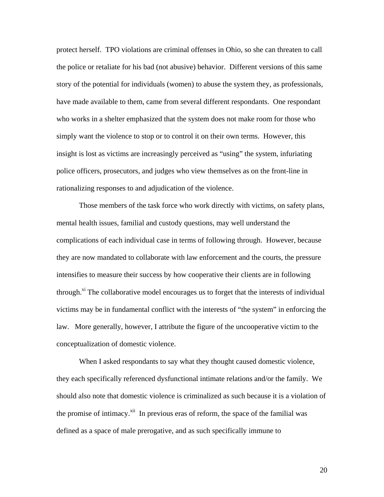protect herself. TPO violations are criminal offenses in Ohio, so she can threaten to call the police or retaliate for his bad (not abusive) behavior. Different versions of this same story of the potential for individuals (women) to abuse the system they, as professionals, have made available to them, came from several different respondants. One respondant who works in a shelter emphasized that the system does not make room for those who simply want the violence to stop or to control it on their own terms. However, this insight is lost as victims are increasingly perceived as "using" the system, infuriating police officers, prosecutors, and judges who view themselves as on the front-line in rationalizing responses to and adjudication of the violence.

Those members of the task force who work directly with victims, on safety plans, mental health issues, familial and custody questions, may well understand the complications of each individual case in terms of following through. However, because they are now mandated to collaborate with law enforcement and the courts, the pressure intensifies to measure their success by how cooperative their clients are in following through.<sup>xi</sup> The collaborative model encourages us to forget that the interests of individual victims may be in fundamental conflict with the interests of "the system" in enforcing the law. More generally, however, I attribute the figure of the uncooperative victim to the conceptualization of domestic violence.

When I asked respondants to say what they thought caused domestic violence, they each specifically referenced dysfunctional intimate relations and/or the family. We should also note that domestic violence is criminalized as such because it is a violation of the promise of intimacy. $x^{i}$  In previous eras of reform, the space of the familial was defined as a space of male prerogative, and as such specifically immune to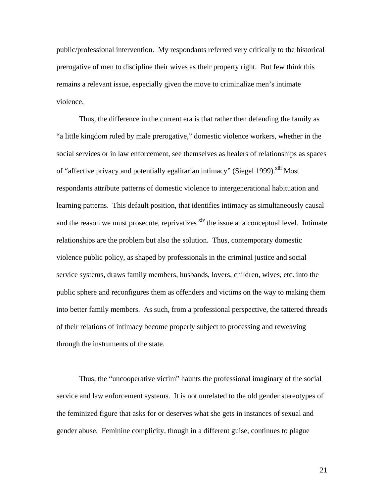public/professional intervention. My respondants referred very critically to the historical prerogative of men to discipline their wives as their property right. But few think this remains a relevant issue, especially given the move to criminalize men's intimate violence.

Thus, the difference in the current era is that rather then defending the family as "a little kingdom ruled by male prerogative," domestic violence workers, whether in the social services or in law enforcement, see themselves as healers of relationships as spaces of "affective privacy and potentially egalitarian intimacy" (Siegel 1999).<sup>xiii</sup> Most respondants attribute patterns of domestic violence to intergenerational habituation and learning patterns. This default position, that identifies intimacy as simultaneously causal and the reason we must prosecute, reprivatizes  $x^i$  the issue at a conceptual level. Intimate relationships are the problem but also the solution. Thus, contemporary domestic violence public policy, as shaped by professionals in the criminal justice and social service systems, draws family members, husbands, lovers, children, wives, etc. into the public sphere and reconfigures them as offenders and victims on the way to making them into better family members. As such, from a professional perspective, the tattered threads of their relations of intimacy become properly subject to processing and reweaving through the instruments of the state.

Thus, the "uncooperative victim" haunts the professional imaginary of the social service and law enforcement systems. It is not unrelated to the old gender stereotypes of the feminized figure that asks for or deserves what she gets in instances of sexual and gender abuse. Feminine complicity, though in a different guise, continues to plague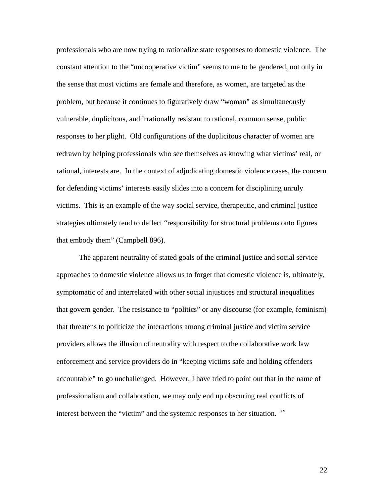professionals who are now trying to rationalize state responses to domestic violence. The constant attention to the "uncooperative victim" seems to me to be gendered, not only in the sense that most victims are female and therefore, as women, are targeted as the problem, but because it continues to figuratively draw "woman" as simultaneously vulnerable, duplicitous, and irrationally resistant to rational, common sense, public responses to her plight. Old configurations of the duplicitous character of women are redrawn by helping professionals who see themselves as knowing what victims' real, or rational, interests are. In the context of adjudicating domestic violence cases, the concern for defending victims' interests easily slides into a concern for disciplining unruly victims. This is an example of the way social service, therapeutic, and criminal justice strategies ultimately tend to deflect "responsibility for structural problems onto figures that embody them" (Campbell 896).

The apparent neutrality of stated goals of the criminal justice and social service approaches to domestic violence allows us to forget that domestic violence is, ultimately, symptomatic of and interrelated with other social injustices and structural inequalities that govern gender. The resistance to "politics" or any discourse (for example, feminism) that threatens to politicize the interactions among criminal justice and victim service providers allows the illusion of neutrality with respect to the collaborative work law enforcement and service providers do in "keeping victims safe and holding offenders accountable" to go unchallenged. However, I have tried to point out that in the name of professionalism and collaboration, we may only end up obscuring real conflicts of interest between the "victim" and the systemic responses to her situation. <sup>xv</sup>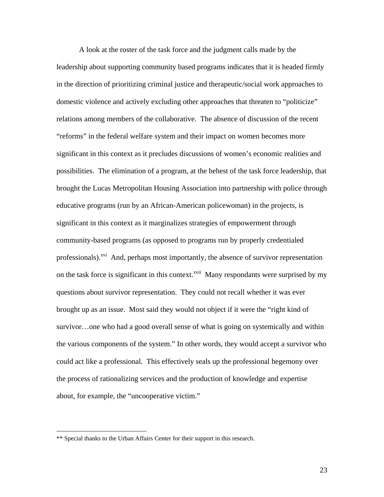A look at the roster of the task force and the judgment calls made by the leadership about supporting community based programs indicates that it is headed firmly in the direction of prioritizing criminal justice and therapeutic/social work approaches to domestic violence and actively excluding other approaches that threaten to "politicize" relations among members of the collaborative. The absence of discussion of the recent "reforms" in the federal welfare system and their impact on women becomes more significant in this context as it precludes discussions of women's economic realities and possibilities. The elimination of a program, at the behest of the task force leadership, that brought the Lucas Metropolitan Housing Association into partnership with police through educative programs (run by an African-American policewoman) in the projects, is significant in this context as it marginalizes strategies of empowerment through community-based programs (as opposed to programs run by properly credentialed professionals).<sup>xvi</sup> And, perhaps most importantly, the absence of survivor representation on the task force is significant in this context.<sup>xvii</sup> Many respondants were surprised by my questions about survivor representation. They could not recall whether it was ever brought up as an issue. Most said they would not object if it were the "right kind of survivor…one who had a good overall sense of what is going on systemically and within the various components of the system." In other words, they would accept a survivor who could act like a professional. This effectively seals up the professional hegemony over the process of rationalizing services and the production of knowledge and expertise about, for example, the "uncooperative victim."

 $\overline{a}$ 

<sup>\*\*</sup> Special thanks to the Urban Affairs Center for their support in this research.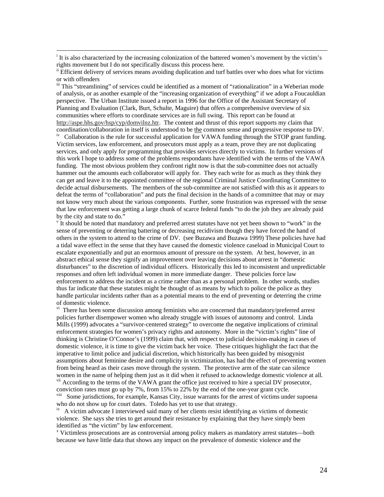i <sup>i</sup> It is also characterized by the increasing colonization of the battered women's movement by the victim's rights movement but I do not specifically discuss this process here.

iii This "streamlining" of services could be identified as a moment of "rationalization" in a Weberian mode of analysis, or as another example of the "increasing organization of everything" if we adopt a Foucauldian perspective. The Urban Institute issued a report in 1996 for the Office of the Assistant Secretary of Planning and Evaluation (Clark, Burt, Schulte, Maguire) that offers a comprehensive overview of six communities where efforts to coordinate services are in full swing. This report can be found at http://aspe.hhs.gov/hsp/cyp/domvilnz.htr. The content and thrust of this report supports my claim that coordination/collaboration in itself is understood to be the common sense and progressive response to DV.

<sup>iv</sup> Collaboration is the rule for successful application for VAWA funding through the STOP grant funding. Victim services, law enforcement, and prosecutors must apply as a team, prove they are not duplicating services, and only apply for programming that provides services directly to victims. In further versions of this work I hope to address some of the problems respondants have identified with the terms of the VAWA funding. The most obvious problem they confront right now is that the sub-committee does not actually hammer out the amounts each collaborator will apply for. They each write for as much as they think they can get and leave it to the appointed committee of the regional Criminal Justice Coordinating Committee to decide actual disbursements. The members of the sub-committee are not satisfied with this as it appears to defeat the terms of "collaboration" and puts the final decision in the hands of a committee that may or may not know very much about the various components. Further, some frustration was expressed with the sense that law enforcement was getting a large chunk of scarce federal funds "to do the job they are already paid by the city and state to do."

It should be noted that mandatory and preferred arrest statutes have not yet been shown to "work" in the sense of preventing or deterring battering or decreasing recidivism though they have forced the hand of others in the system to attend to the crime of DV. (see Buzawa and Buzawa 1999) These policies have had a tidal wave effect in the sense that they have caused the domestic violence caseload in Municipal Court to escalate exponentially and put an enormous amount of pressure on the system. At best, however, in an abstract ethical sense they signify an improvement over leaving decisions about arrest in "domestic disturbances" to the discretion of individual officers. Historically this led to inconsistent and unpredictable responses and often left individual women in more immediate danger. These policies force law enforcement to address the incident as a crime rather than as a personal problem. In other words, studies thus far indicate that these statutes might be thought of as means by which to police the police as they handle particular incidents rather than as a potential means to the end of preventing or deterring the crime of domestic violence.

<sup>vi</sup> There has been some discussion among feminists who are concerned that mandatory/preferred arrest policies further disempower women who already struggle with issues of autonomy and control. Linda Mills (1999) advocates a "survivor-centered strategy" to overcome the negative implications of criminal enforcement strategies for women's privacy rights and autonomy. More in the "victim's rights" line of thinking is Christine O'Connor's (1999) claim that, with respect to judicial decision-making in cases of domestic violence, it is time to give the victim back her voice. These critiques highlight the fact that the imperative to limit police and judicial discretion, which historically has been guided by misogynist assumptions about feminine desire and complicity in victimization, has had the effect of preventing women from being heard as their cases move through the system. The protective arm of the state can silence women in the name of helping them just as it did when it refused to acknowledge domestic violence at all. <sup>vii</sup> According to the terms of the VAWA grant the office just received to hire a special DV prosecutor, conviction rates must go up by 7%, from 15% to 22% by the end of the one-year grant cycle.

<sup>viii</sup> Some jurisdictions, for example, Kansas City, issue warrants for the arrest of victims under supoena who do not show up for court dates. Toledo has yet to use that strategy.

 $i<sup>x</sup>$  A victim advocate I interviewed said many of her clients resist identifying as victims of domestic violence. She says she tries to get around their resistance by explaining that they have simply been identified as "the victim" by law enforcement.

 Victimless prosecutions are as controversial among policy makers as mandatory arrest statutes—both because we have little data that shows any impact on the prevalence of domestic violence and the

<sup>&</sup>lt;sup>ii</sup> Efficient delivery of services means avoiding duplication and turf battles over who does what for victims or with offenders